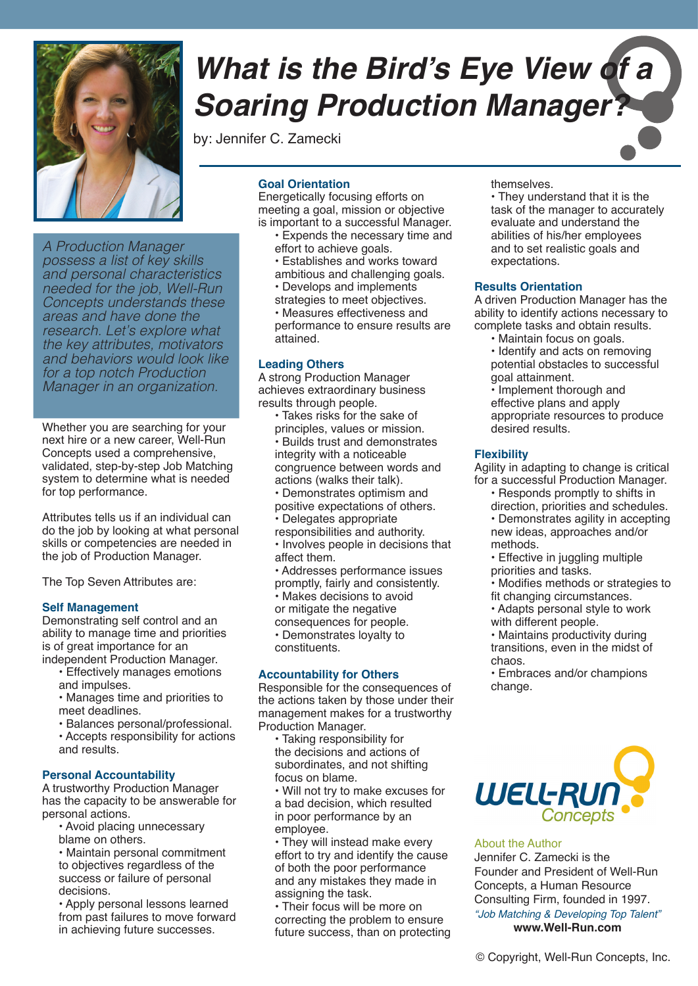

*A Production Manager possess a list of key skills and personal characteristics needed for the job, Well-Run Concepts understands these areas and have done the research. Let's explore what the key attributes, motivators and behaviors would look like for a top notch Production Manager in an organization.*

Whether you are searching for your next hire or a new career, Well-Run Concepts used a comprehensive, validated, step-by-step Job Matching system to determine what is needed for top performance.

Attributes tells us if an individual can do the job by looking at what personal skills or competencies are needed in the job of Production Manager.

The Top Seven Attributes are:

#### **Self Management**

Demonstrating self control and an ability to manage time and priorities is of great importance for an independent Production Manager.

- Effectively manages emotions and impulses.
- Manages time and priorities to meet deadlines.
- Balances personal/professional.
- Accepts responsibility for actions and results.

#### **Personal Accountability**

A trustworthy Production Manager has the capacity to be answerable for personal actions.

- Avoid placing unnecessary blame on others.
- Maintain personal commitment to objectives regardless of the success or failure of personal decisions.

• Apply personal lessons learned from past failures to move forward in achieving future successes.

# **What is the Bird's Eye View of a Soaring Production Manager?**

by: Jennifer C. Zamecki

# **Goal Orientation**

Energetically focusing efforts on meeting a goal, mission or objective is important to a successful Manager.

- Expends the necessary time and
- effort to achieve goals. • Establishes and works toward
- ambitious and challenging goals.
- Develops and implements
- strategies to meet objectives.
- Measures effectiveness and

performance to ensure results are attained.

#### **Leading Others**

A strong Production Manager achieves extraordinary business results through people.

- Takes risks for the sake of principles, values or mission. • Builds trust and demonstrates integrity with a noticeable congruence between words and actions (walks their talk). • Demonstrates optimism and
- positive expectations of others.
- Delegates appropriate
- responsibilities and authority.

• Involves people in decisions that affect them.

- Addresses performance issues promptly, fairly and consistently.
- Makes decisions to avoid
- or mitigate the negative
- consequences for people.
- Demonstrates loyalty to
- constituents.

# **Accountability for Others**

Responsible for the consequences of the actions taken by those under their management makes for a trustworthy Production Manager.

• Taking responsibility for the decisions and actions of subordinates, and not shifting focus on blame.

• Will not try to make excuses for a bad decision, which resulted in poor performance by an employee.

• They will instead make every effort to try and identify the cause of both the poor performance and any mistakes they made in assigning the task.

• Their focus will be more on correcting the problem to ensure future success, than on protecting themselves.

• They understand that it is the task of the manager to accurately evaluate and understand the abilities of his/her employees and to set realistic goals and expectations.

#### **Results Orientation**

A driven Production Manager has the ability to identify actions necessary to complete tasks and obtain results.

• Maintain focus on goals. • Identify and acts on removing potential obstacles to successful goal attainment.

• Implement thorough and effective plans and apply appropriate resources to produce desired results.

# **Flexibility**

Agility in adapting to change is critical for a successful Production Manager.

- Responds promptly to shifts in direction, priorities and schedules. • Demonstrates agility in accepting new ideas, approaches and/or methods.
- Effective in juggling multiple
- priorities and tasks.
- Modifies methods or strategies to
- fit changing circumstances. • Adapts personal style to work
- with different people.

• Maintains productivity during transitions, even in the midst of chaos.

• Embraces and/or champions change.



#### About the Author

Jennifer C. Zamecki is the Founder and President of Well-Run Concepts, a Human Resource Consulting Firm, founded in 1997. *"Job Matching & Developing Top Talent"* **www.Well-Run.com**